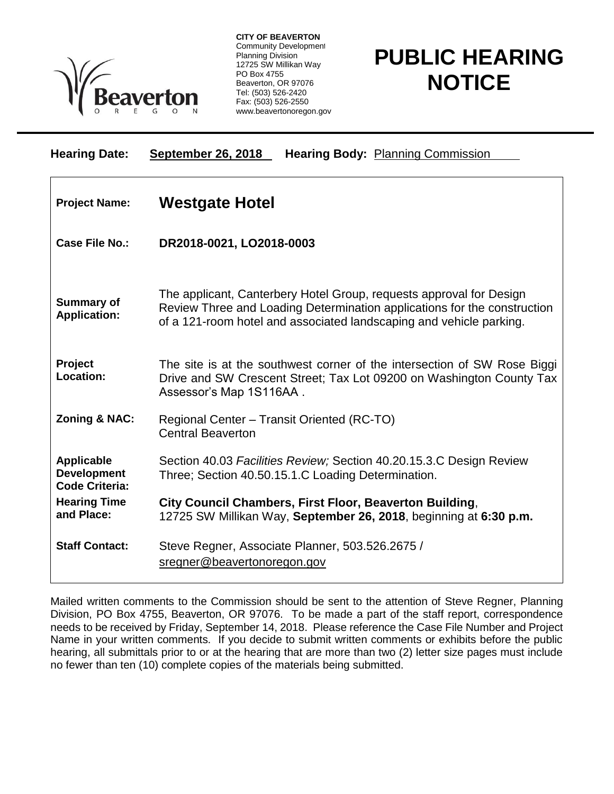

**CITY OF BEAVERTON** Community Development Planning Division 12725 SW Millikan Way PO Box 4755 Beaverton, OR 97076 Tel: (503) 526-2420 Fax: (503) 526-2550 www.beavertonoregon.gov

## **PUBLIC HEARING NOTICE**

| <b>Hearing Date:</b>                                             | <b>September 26, 2018</b><br><b>Hearing Body: Planning Commission</b>                                                                                                                                                  |
|------------------------------------------------------------------|------------------------------------------------------------------------------------------------------------------------------------------------------------------------------------------------------------------------|
| <b>Project Name:</b>                                             | <b>Westgate Hotel</b>                                                                                                                                                                                                  |
| <b>Case File No.:</b>                                            | DR2018-0021, LO2018-0003                                                                                                                                                                                               |
| <b>Summary of</b><br><b>Application:</b>                         | The applicant, Canterbery Hotel Group, requests approval for Design<br>Review Three and Loading Determination applications for the construction<br>of a 121-room hotel and associated landscaping and vehicle parking. |
| Project<br>Location:                                             | The site is at the southwest corner of the intersection of SW Rose Biggi<br>Drive and SW Crescent Street; Tax Lot 09200 on Washington County Tax<br>Assessor's Map 1S116AA.                                            |
| <b>Zoning &amp; NAC:</b>                                         | Regional Center - Transit Oriented (RC-TO)<br><b>Central Beaverton</b>                                                                                                                                                 |
| <b>Applicable</b><br><b>Development</b><br><b>Code Criteria:</b> | Section 40.03 Facilities Review; Section 40.20.15.3.C Design Review<br>Three; Section 40.50.15.1.C Loading Determination.                                                                                              |
| <b>Hearing Time</b><br>and Place:                                | City Council Chambers, First Floor, Beaverton Building,<br>12725 SW Millikan Way, September 26, 2018, beginning at 6:30 p.m.                                                                                           |
| <b>Staff Contact:</b>                                            | Steve Regner, Associate Planner, 503.526.2675 /<br>sregner@beavertonoregon.gov                                                                                                                                         |

Mailed written comments to the Commission should be sent to the attention of Steve Regner, Planning Division, PO Box 4755, Beaverton, OR 97076. To be made a part of the staff report, correspondence needs to be received by Friday, September 14, 2018. Please reference the Case File Number and Project Name in your written comments. If you decide to submit written comments or exhibits before the public hearing, all submittals prior to or at the hearing that are more than two (2) letter size pages must include no fewer than ten (10) complete copies of the materials being submitted.